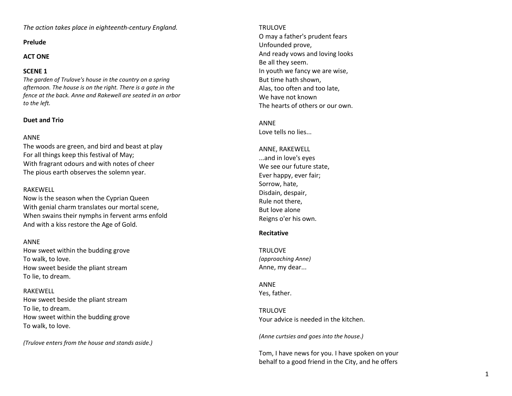## *The action takes place in eighteenth -century England.*

**Prelude**

### **ACT ONE**

### **SCENE 1**

*The garden of Trulove's house in the country on a spring afternoon. The house is on the right. There is a gate in the fence at the back. Anne and Rakewell are seated in an arbor to the left.*

### **Duet and Trio**

### ANNE

The woods are green, and bird and beast at play For all things keep this festival of May; With fragrant odours and with notes of cheer The pious earth observes the solemn year.

### RAKEWELL

Now is the season when the Cyprian Queen With genial charm translates our mortal scene, When swains their nymphs in fervent arms enfold And with a kiss restore the Age of Gold.

### ANNE

How sweet within the budding grove To walk, to love. How sweet beside the pliant stream To lie, to dream.

### RAKEWELL

How sweet beside the pliant stream To lie, to dream. How sweet within the budding grove To walk, to love.

*(Trulove enters from the house and stands aside.)*

#### TRULOVE

O may a father's prudent fears Unfounded prove, And ready vows and loving looks Be all they seem. In youth we fancy we are wise, But time hath shown, Alas, too often and too late, We have not known The hearts of others or our own.

ANNE Love tells no lies...

ANNE, RAKEWELL ...and in love's eyes We see our future state, Ever happy, ever fair; Sorrow, hate, Disdain, despair, Rule not there, But love alone Reigns o'er his own.

## **Recitative**

**TRULOVE** *(approaching Anne)* Anne, my dear...

ANNE Yes, father.

TRULOVE Your advice is needed in the kitchen.

*(Anne curtsies and goes into the house.)*

Tom, I have news for you. I have spoken on your behalf to a good friend in the City, and he offers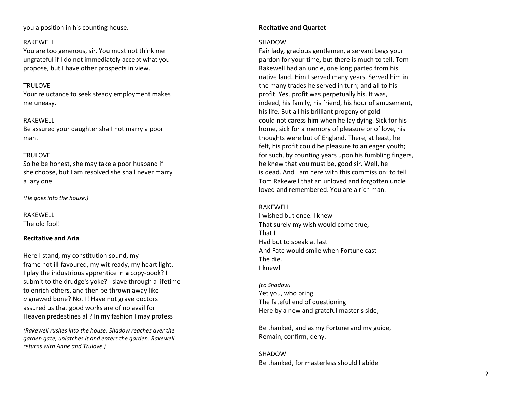you a position in his counting house.

### RAKEWELL

You are too generous, sir. You must not think me ungrateful if I do not immediately accept what you propose, but I have other prospects in view.

## TRULOVE

Your reluctance to seek steady employment makes me uneasy.

## RAKEWELL

Be assured your daughter shaII not marry a poor man.

## **TRULOVE**

So he be honest, she may take a poor husband if she choose, but I am resolved she shall never marry a lazy one.

*(He goes into the house.)*

RAKEWELL The old fool!

## **Recitative and Aria**

Here I stand, my constitution sound, my frame not ill -favoured, my wit ready, my heart light. I play the industrious apprentice in **a** copy -book? I submit to the drudge's yoke? I slave through a lifetime to enrich others, and then be thrown away like *a* gnawed bone? Not I! Have not grave doctors assured us that good works are of no avail for Heaven predestines all? In my fashion I may profess

*(Rakewell rushes into the house. Shadow reaches aver the garden gate, unlatches it and enters the garden. Rakewell returns with Anne and Trulove.)*

## **Recitative and Quartet**

## SHADOW

Fair lady*,* gracious gentlemen, a servant begs your pardon for your time, but there is much to tell. Tom Rakewell had an uncle, one long parted from his native land. Him I served many years. Served him in the many trades he served in turn; and all to his profit. Yes, profit was perpetually his. It was, indeed, his family, his friend, his hour of amusement, his life. But all his brilliant progeny of gold could not caress him when he lay dying. Sick for his home, sick for a memory of pleasure or of love, his thoughts were but of England. There, at least, he felt, his profit could be pleasure to an eager youth; for such, by counting years upon his fumbling fingers, he knew that you must be, good sir. Well, he is dead. And I am here with this commission: to tell Tom Rakewell that an unloved and forgotten uncle loved and remembered. You are a rich man.

## RAKEWELL

I wished but once. I knew That surely my wish would come true, That I Had but to speak at last And Fate would smile when Fortune cast The die. I knew!

*(to Shadow)* Yet you, who bring The fateful end of questioning Here by a new and grateful master's side,

Be thanked, and as my Fortune and my guide, Remain, confirm, deny.

SHADOW Be thanked, for masterless should I abide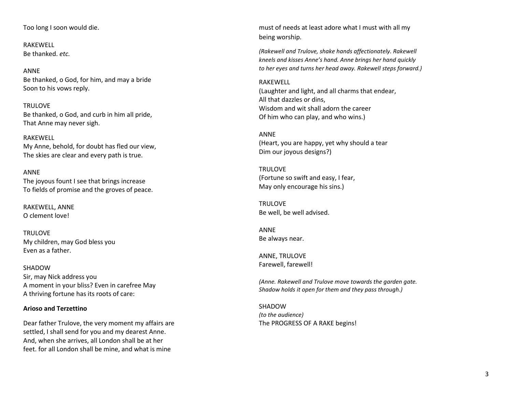Too long I soon would die.

RAKEWELL Be thanked. *etc.*

## ANNE

Be thanked, o God, for him, and may a bride Soon to his vows reply.

### **TRULOVE**

Be thanked, o God, and curb in him all pride, That Anne may never sigh.

### RAKEWELL

My Anne, behold, for doubt has fled our view, The skies are clear and every path is true.

## ANNE

The joyous fount I see that brings increase To fields of promise and the groves of peace.

RAKEWELL, ANNE O clement love!

TRULOVE My children, may God bless you Even as a father.

## **SHADOW**

Sir, may Nick address you A moment in your bliss? Even in carefree May A thriving fortune has its roots of care:

## **Arioso and Terzettino**

Dear father Trulove, the very moment my affairs are settled, I shall send for you and my dearest Anne. And, when she arrives, all London shall be at her feet. for all London shall be mine, and what is mine

must of needs at least adore what I must with all my being worship.

*(Rakewell and Trulove, shake hands affectionately. Rakewell kneels and kisses Anne's hand. Anne brings her hand quickly to her eyes and turns her head away. Rakewell steps forward.)*

## RAKEWELL (Laughter and light, and all charms that endear, All that dazzles or dins, Wisdom and wit shall adorn the career Of him who can play, and who wins.)

ANNE (Heart, you are happy, yet why should a tear Dim our joyous designs?)

**TRULOVE** (Fortune so swift and easy, I fear, May only encourage his sins.)

**TRULOVE** Be well, be well advised.

ANNE Be always near.

ANNE, TRULOVE Farewell, farewell!

*(Anne. Rakewell and Trulove move towards the garden gate. Shadow holds it open for them and they pass through.)*

SHADOW *(to the audience)* The PROGRESS OF A RAKE begins!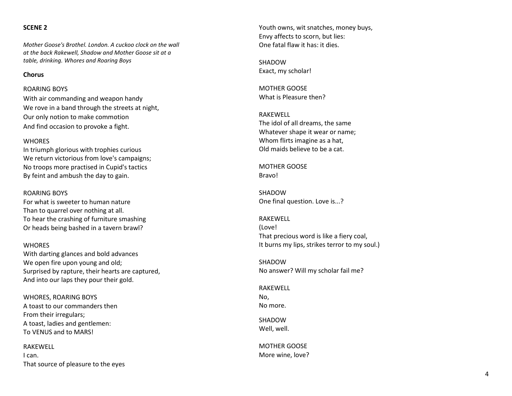## **SCENE 2**

*Mother Goose's Brothel. London. A cuckoo clock on the wall at the back Rakewell, Shadow and Mother Goose sit at a table, drinking. Whores and Roaring Boys*

## **Chorus**

### ROARING BOYS

With air commanding and weapon handy We rove in a band through the streets at night, Our only notion to make commotion And find occasion to provoke a fight.

## WHORES

In triumph glorious with trophies curious We return victorious from love's campaigns; No troops more practised in Cupid's tactics By feint and ambush the day to gain.

## ROARING BOYS

For what is sweeter to human nature Than to quarrel over nothing at all. To hear the crashing of furniture smashing Or heads being bashed in a tavern brawl?

## WHORES

With darting glances and bold advances We open fire upon young and old; Surprised by rapture, their hearts are captured, And into our laps they pour their gold.

WHORES, ROARING BOYS A toast to our commanders then From their irregulars; A toast, ladies and gentlemen: To VENUS and to MARS!

RAKEWELL I can. That source of pleasure to the eyes Youth owns, wit snatches, money buys, Envy affects to scorn, but lies: One fatal flaw it has: it dies.

**SHADOW** Exact, my scholar!

MOTHER GOOSE What is Pleasure then?

RAKEWELL The idol of all dreams, the same Whatever shape it wear or name; Whom flirts imagine as a hat, Old maids believe to be a cat.

MOTHER GOOSE Bravo!

SHADOW One final question. Love is...?

RAKEWELL (Love! That precious word is like a fiery coal, It burns my lips, strikes terror to my soul.)

SHADOW No answer? Will my scholar fail me?

RAKEWELL No, No more.

SHADOW Well, well.

MOTHER GOOSE More wine, love?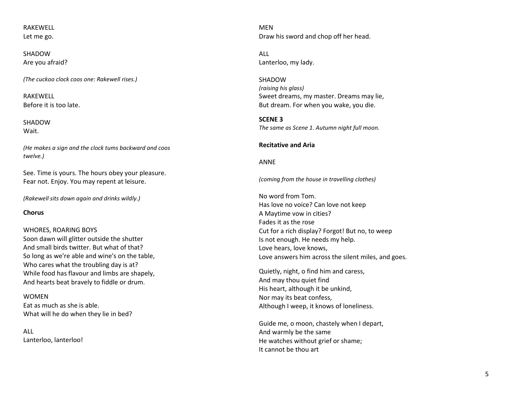## RAKEWELL Let me go.

SHADOW Are you afraid?

*(The cuckoo clock coos one: Rakewell rises.)*

RAKEWELL Before it is too late.

SHADOW Wait.

*(He makes a sign and the clock tums backward and coos twelve.)*

See. Time is yours. The hours obey your pleasure. Fear not. Enjoy. You may repent at leisure.

*(Rakewell sits down again and drinks wildly.)*

**Chorus**

WHORES, ROARING BOYS Soon dawn will glitter outside the shutter And small birds twitter. But what of that? So long as we're able and wine's on the table, Who cares what the troubling day is at? While food has flavour and limbs are shapely, And hearts beat bravely to fiddle or drum.

WOMEN Eat as much as she is able. What will he do when they lie in bed?

ALL Lanterloo, lanterloo!

MEN Draw his sword and chop off her head.

ALL Lanterloo, my lady.

SHADOW *(raising his glass)* Sweet dreams, my master. Dreams may lie, But dream. For when you wake, you die.

**SCENE 3** *The same as Scene 1. Autumn night full moon.*

## **Recitative and Aria**

## ANNE

*(coming from the house in travelling clothes)*

No word from Tom. Has love no voice? Can love not keep A Maytime vow in cities? Fades it as the rose Cut for a rich display? Forgot! But no, to weep Is not enough. He needs my help. Love hears, love knows, Love answers him across the silent miles, and goes.

Quietly, night, o find him and caress, And may thou quiet find His heart, although it be unkind, Nor may its beat confess, Although I weep, it knows of loneliness.

Guide me, o moon, chastely when I depart, And warmly be the same He watches without grief or shame; It cannot be thou art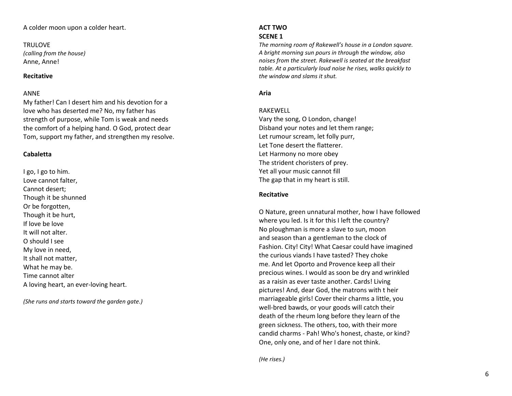### A colder moon upon a colder heart.

**TRULOVE** *(calling from the house)* Anne, Anne!

### **Recitative**

### ANNE

My father! Can I desert him and his devotion for a love who has deserted me? No, my father has strength of purpose, while Tom is weak and needs the comfort of a helping hand. O God, protect dea r Tom, support my father, and strengthen my resolve.

## **Cabaletta**

I go, I go to him. Love cannot falter, Cannot desert; Though it be shunned Or be forgotten, Though it be hurt, If love be love It will not alter. O should I see My love in need, It shall not matter, What he may be. Time cannot alter A loving heart, an ever -loving heart.

*(She runs and starts toward the garden gate.)*

## **ACT TWO SCENE 1**

*The morning room of Rakewell's house in a London square. A bright morning sun pours in through the window, also noises from the street. Rakewell is seated at the breakfast table. At a particularly loud noise he rises, walks quickly to the window and slams it shut.*

## **Aria**

## RAKEWELL

Vary the song, O London, change! Disband your notes and let them range; Let rumour scream, let folly purr, Let Tone desert the flatterer. Let Harmony no more obey The strident choristers of prey. Yet all your music cannot fill The gap that in my heart is still.

## **Recitative**

O Nature, green unnatural mother, how I have followed where you led. Is it for this I left the country? No ploughman is more a slave to sun, moon and season than a gentleman to the clock of Fashion. City! City! What Caesar could have imagined the curious viands I have tasted? They choke me. And let Oporto and Provence keep all their precious wines. I would as soon be dry and wrinkled as a raisin as ever taste another. Cards! Living pictures! And, dear God, the matrons with t heir marriageable girls! Cover their charms a little, you well -bred bawds, or your goods will catch their death of the rheum long before they learn of the green sickness. The others, too, with their more candid charms - Pah! Who's honest, chaste, or kind? One, only one, and of her I dare not think.

*(He rises.)*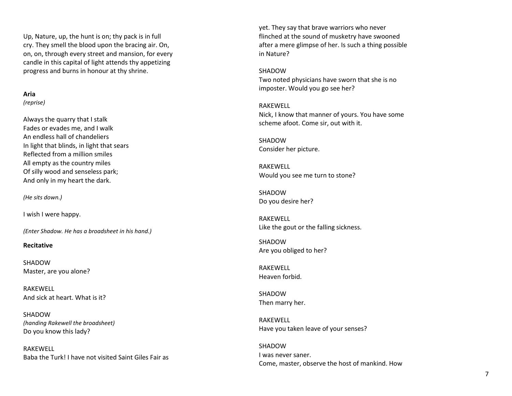Up, Nature, up, the hunt is on; thy pack is in full cry. They smell the blood upon the bracing air. On, on, on, through every street and mansion, for every candle in this capital of light attends thy appetizing progress and burns in honour at thy shrine.

## **Aria**

*(reprise)*

Always the quarry that I stalk Fades or evades me, and I walk An endless hall of chandeliers In light that blinds, in light that sears Reflected from a million smiles All empty as the country miles Of silly wood and senseless park; And only in my heart the dark.

*(He sits down.)*

I wish I were happy.

*(Enter Shadow. He has a broadsheet in his hand.)*

**Recitative**

SHADOW Master, are you alone?

RAKEWELL And sick at heart. What is it?

SHADOW *(handing Rakewell the broadsheet)* Do you know this lady?

RAKEWELL Baba the Turk! I have not visited Saint Giles Fair as yet. They say that brave warriors who never flinched at the sound of musketry have swooned after a mere glimpse of her. Is such a thing possible in Nature?

SHADOW Two noted physicians have sworn that she is no imposter. Would you go see her?

RAKEWELL Nick, I know that manner of yours. You have some scheme afoot. Come sir, out with it.

SHADOW Consider her picture.

RAKEWELL Would you see me turn to stone?

SHADOW Do you desire her?

RAKEWELL Like the gout or the falling sickness.

SHADOW Are you obliged to her?

**RAKEWELL** Heaven forbid.

SHADOW Then marry her.

RAKEWELL Have you taken leave of your senses?

SHADOW I was never saner. Come, master, observe the host of mankind. How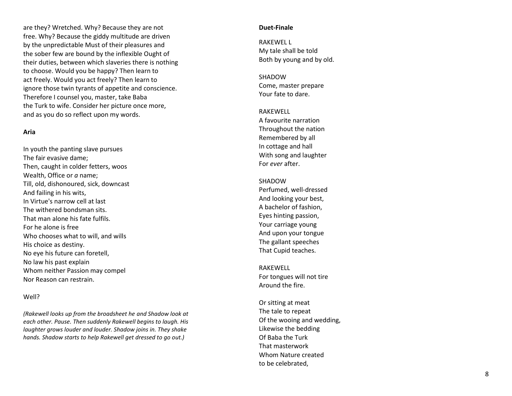are they? Wretched. Why? Because they are not free. Why? Because the giddy multitude are driven by the unpredictable Must of their pleasures and the sober few are bound by the inflexible Ought of their duties, between which slaveries there is nothing to choose. Would you be happy? Then learn to act freely. Would you act freely? Then learn to ignore those twin tyrants of appetite and conscience. Therefore I counsel you, master, take Baba the Turk to wife. Consider her picture once more, and as you do so reflect upon my words.

### **Aria**

In youth the panting slave pursues The fair evasive dame; Then, caught in colder fetters, woos Wealth, Office or *a* name; Till, old, dishonoured, sick, downcast And failing in his wits, In Virtue's narrow cell at last The withered bondsman sits. That man alone his fate fulfils. For he alone is free Who chooses what to will, and wills His choice as destiny. No eye his future can foretell, No law his past explain Whom neither Passion may compel Nor Reason can restrain.

### Well?

*(Rakewell looks up from the broadsheet he and Shadow look at each other. Pause. Then suddenly Rakewell begins to laugh. His laughter grows louder and louder. Shadow joins in. They shake hands. Shadow starts to help Rakewell get dressed to go out.)*

#### **Duet -Finale**

RAKEWEL L My tale shall be told Both by young and by old.

**SHADOW** Come, master prepare Your fate to dare.

RAKEWELL A favourite narration Throughout the nation Remembered by all In cottage and hall With song and laughter For *ever* after.

SHADOW Perfumed, well -dressed And looking your best, A bachelor of fashion, Eyes hinting passion, Your carriage young And upon your tongue The gallant speeches That Cupid teaches.

**RAKEWELL** For tongues will not tire Around the fire.

Or sitting at meat The tale to repeat Of the wooing and wedding, Likewise the bedding Of Baba the Turk That masterwork Whom Nature created to be celebrated,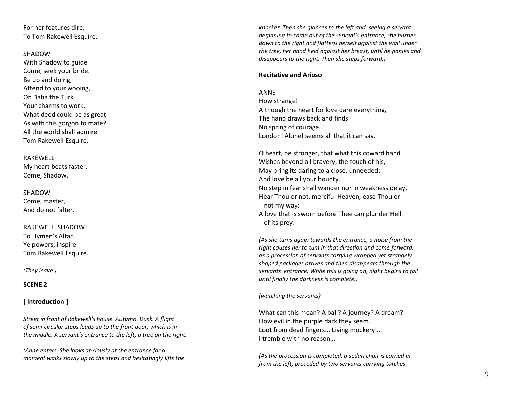For her features dire, To Tom Rakewell Esquire.

#### SHADOW

With Shadow to guide Come, seek your bride. Be up and doing, Attend to your wooing, On Baba the Turk Your charms to work, What deed could be as great As with this gorgon to mate? All the world shall admire Tom Rakewell Esquire.

#### RAKEWELL

My heart beats faster. Come, Shadow.

### SHADOW

Come, master, And do not falter.

RAKEWELL, SHADOW To Hymen's Altar. Ye powers, inspire Tom Rakewell Esquire.

*(They leave.)*

## **SCENE 2**

## **[ Introduction ]**

*Street in front of Rakewell's house. Autumn. Dusk. A flight of semi -circular steps leads up to the front door, which is in the middle. A servant's entrance to the left, a tree on the right.*

*(Anne enters. She looks anxiously at the entrance for a moment walks slowly up to the steps and hesitatingly lifts the*

*knocker. Then she glances to the left and, seeing a servant beginning to come out of the servant's entrance, she hurries down to the right and flattens herself against the wall under the tree, her hand held against her breast, until he passes and disappears to the right. Then she steps forward.)*

### **Recitative and Arioso**

#### ANNE

How strange! Although the heart for love dare everything, The hand draws back and finds No spring of courage. London! Alone! seems all that it can say.

O heart, be stronger, that what this coward hand Wishes beyond all bravery, the touch of his, May bring its daring to a close, unneeded: And love be all your bounty. No step in fear shall wander nor in weakness delay, Hear Thou or not, merciful Heaven, ease Thou or not my way; A love that is sworn before Thee can plunder Hell of its prey.

*(As she turns again towards the entrance, a noise from the right causes her to tum in that direction and come forward, as a procession of servants carrying wrapped yet strangely shaped packages arrives and then disappears through the servants' entrance. While this is going on, night begins to fall until finally the darkness is complete.)*

### *(watching the servants)*

What can this mean? A ball? A journey? A dream? How evil in the purple dark they seem. Loot from dead fingers... Living mockery ... I tremble with no reason …

*(As the procession is completed, a sedan chair is carried in from the left, preceded by two servants carry ing torches.*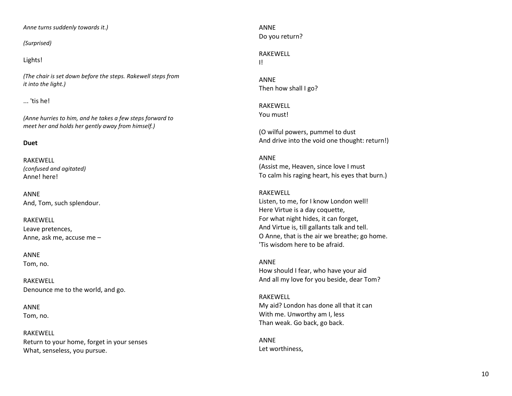```
Anne turns sudden
ly towards it.)
```
*(Surprised)*

## Lights!

*(The chair is set down before the steps. Rakewell steps from it into the light . )*

... 'tis he!

*(Anne hurries to him, and he takes a few steps forward to meet her and holds her gently away from himself.)*

## **Duet**

RAKEWELL *(confused and agitated)* Anne! here!

ANNE And, Tom, such splendour.

RAKEWELL Leave pretences, Anne, ask me, accuse me –

ANNE Tom, no.

RAKEWELL Denounce me to the world, and go.

ANNE Tom, no.

RAKEWELL Return to your home, forget in your senses What, senseless, you pursue.

ANNE Do you return?

RAKEWELL I!

ANNE Then how shall I go?

RAKEWELL You must!

(O wilful powers, pummel to dust And drive into the void one thought: return!)

ANNE (Assist me, Heaven, since love I must To calm his raging heart, his eyes that burn.)

RAKEWELL Listen, to me, for I know London well! Here Virtue is a day coquette, For what night hides, it can forget, And Virtue is, till gallants talk and tell. O Anne, that is the air we breathe; go home. 'Tis wisdom here to be afraid.

ANNE How should I fear, who have your aid And all my love for you beside, dear Tom?

RAKEWELL My aid? London has done all that it can With me. Unworthy am I, less Than weak. Go back, go back.

ANNE Let worthiness,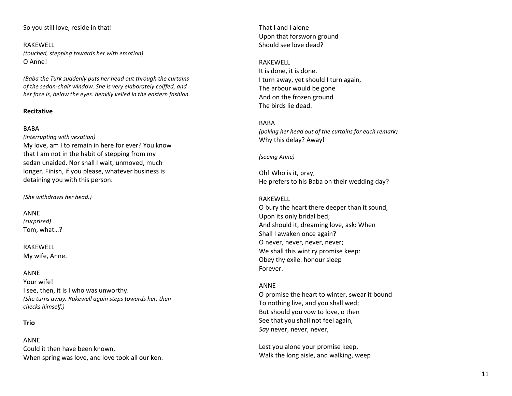So you still love, reside in that!

RAKEWELL *(touched, stepping towards her with emotion)* O Anne!

*(Baba the Turk suddenly puts her head out through the curtains of the sedan -chair window. She is very elaborately coiffed, and her face is, below the eyes. heavily veiled in the eastern fashion.*

## **Recitative**

### BABA

*(interrupting with vexation)* My love, am I to remain in here for ever? You know that I am not in the habit of stepping from my sedan unaided. Nor shall I wait, unmoved, much longer. Finish, if you please, whatever business is detaining you with this person.

*(She withdraws her head.)*

## ANNE

*(surprised)* Tom, what … ?

RAKEWELL My wife, Anne.

### ANNE

Your wife! I see, then, it is I who was unworthy. *(She turns away. Rakewell again steps towards her, then checks himself.)*

## **Trio**

## ANNE

Could it then have been known, When spring was love, and love took all our ken. That I and I alone Upon that forsworn ground Should see love dead?

RAKEWELL It is done, it is done. I turn away, yet should I turn again, The arbour would be gone And on the frozen ground The birds lie dead.

### BABA

*(poking her head out of the curtains for each remark)* Why this delay? Away!

#### *(seeing Anne)*

Oh! Who is it, pray, He prefers to his Baba on their wedding day?

## RAKEWELL

O bury the heart there deeper than it sound, Upon its only bridal bed; And should it, dreaming love, ask: When Shall I awaken once again? O never, never, never, never; We shall this wint'ry promise keep: Obey thy exile. honour sleep Forever.

## ANNE

O promise the heart to winter, swear it bound To nothing live, and you shall wed; But should you vow t o love, o then See that you shall not feel again, *Say* never, never, never,

Lest you alone your promise keep, Walk the long aisle, and walking, weep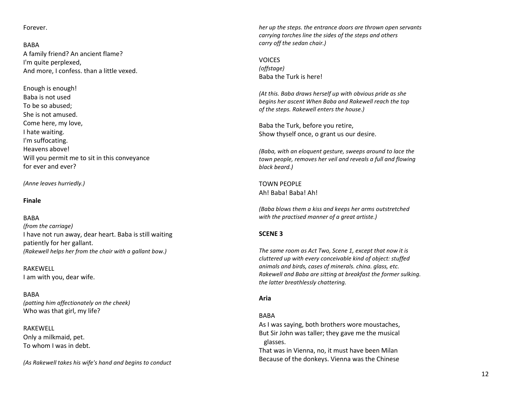#### Forever.

BABA A family friend? An ancient flame? I'm quite perplexed, And more, I confess. than a little vexed.

Enough is enough! Baba is not used To be so abused; She is not amused. Come here, my love, I hate waiting. I'm suffocating. Heavens above! Will you permit me to sit in this conveyance for ever and ever?

*(Anne leaves hurriedly.)*

#### **Finale**

#### BABA

*(from the carriage)* I have not run away, dear heart. Baba is still waiting patiently for her gallant. *(Rakewell helps her from the chair with a gallant bow.)*

## RAKEWELL

I am with you, dear wife.

BABA *(patting him affectionately on the cheek)* Who was that girl, my life?

RAKEWELL Only a milkmaid, pet. To whom I was in debt.

*(As Rakewell takes his wife's hand and begins to conduct*

*her up the steps. the entrance doors are thrown open servants carrying torches line the sides of the steps and others carry off the sedan chair.)*

VOICES *(offstage)* Baba the Turk is here!

*(At this. Baba draws herself up with obvious pride as she begins her ascent When Baba and Rakewell reach the top of the steps. Rakewell enters the house.)*

Baba the Turk, before you retire, Show thyself once, o grant us our desire.

*(Baba, with an eloquent gesture, sweeps around to lace the town people, removes her veil and reveals a full and flowing black beard.)*

TOWN PEOPLE Ah! Baba! Baba! Ah!

*(Baba blows them a kiss and keeps her arms outstretched with the practised manner of a great artiste.)*

### **SCENE 3**

*The same room as Act Two, Scene 1, except that now it is cluttered up with every conceivable kind of object: stuffed animals and birds, cases of minerals. china. glass, etc. Rakewell and Baba are sitting at breakfast the former sulking. the latter breathlessly chattering.*

### **Aria**

### BABA

As I was saying, both brothers wore moustaches, But Sir John was taller; they gave me the musical glasses.

That was in Vienna, no, it must have been Milan Because of the donkeys. Vienna was the Chinese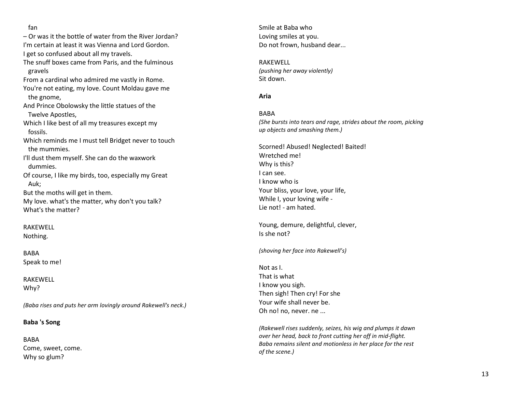#### fan

– Or was it the bottle of water from the River Jordan? I'm certain at least it was Vienna and Lord Gordon. I get so confused about all my travels. The snuff boxes came from Paris, and the fulminous gravels From a cardinal who admired me vastly in Rome. You're not eating, my love. Count Moldau gave m e the gnome, And Prince Obolowsky the little statues of the Twelve Apostles, Which I like best of all my treasures except my fossils. Which reminds me I must tell Bridget never to touch the mummies. I'll dust them myself. She can do the waxwork dummies. Of course, I like my birds, too, especially my Great Auk; But the moths will get in them. My love. what's the matter, why don't you talk? What's the matter?

RAKEWELL

Nothing.

BABA Speak to me!

RAKEWELL Why?

*(Baba rises and puts her arm lovingly around Rakewell's neck.)*

**Baba 's Song**

BABA Come, sweet, come. Why so glum?

Smile at Baba who Loving smiles at you. Do not frown, husband dear...

RAKEWELL *(pushing her away violently)* Sit down.

## **Aria**

BABA *(She bursts into tears and rage, strides about the room, picking up objects and smashing them.)*

Scorned! Abused! Neglected! Baited! Wretched me! Why is this? I can see. I know who is Your bliss, your love, your life, While I, your loving wife - Lie not! - am hated.

Young, demure, delightful, clever, Is she not?

*(shoving her face into Rakewell's )*

Not as I. That is what I know you sigh. Then sigh! Then cry! For she Your wife shall never be. Oh no! no, never. ne ...

*(Rakewell rises suddenly, seize s, his wig and plumps it dawn over her head, back to front cutting her off in mid -flight. Baba remains silent and motionless in her place for the rest of the scene.)*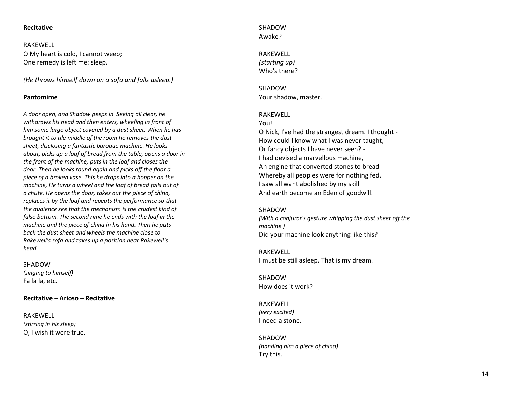#### **Recitative**

RAKEWELL O My heart is cold, I cannot weep; One remedy is left me: sleep.

*(He throws himself down on a sofa and falls asleep.)*

## **Pantomime**

*A door open, and Shadow peeps in. Seeing all clear, he withdraws his head and then enters, wheeling in front of him some large object covered by a dust sheet. When he has brought it to tile middle of the room he removes the dust sheet, disclosing a fantastic baroque machine. He looks about, picks up a loaf of bread from the table, opens a door in the front of the machine, puts in the loaf and close s the door. Then he looks round again and picks off the floor a piece of a broken vase. This he drops into a hopper on the machine, He turns a wheel and the loaf of bread falls out of a chute. He opens the door, takes out the piece of china, replaces it by the loaf and repeats the performance so that the audience see that the mechanism is the crudest kind of false bottom. The second rime he ends with the loaf in the machine and the piece of china in his hand. Then he puts back the dust sheet and wheels the machine close to Rakewell's sofa and takes up a position near Rakewell's head.*

## SHADOW

*(singing to himself)* Fa la la, etc.

## **Recitative** – **Arioso**  – **Recitative**

RAKEWELL *(stirring in his sleep)* O, I wish it were true.

## SHA DOW Awake?

RAKEWELL *(starting up)* Who's there?

SHADOW Your shadow, master.

#### RAKEWELL

You! O Nick, I've had the strangest dream. I thought - How could I know what I was never taught , Or fancy objects I have never seen? - I had devised a marvellous machine, An engine that converted stones to bread Whereby all peoples were for nothing fed. I saw all want abolished by my skill And earth become an Eden of goodwill.

### SHADOW

*(With a conjuror's gesture whipping the dust sheet off the machine.)* Did your machine look anything like this?

RAKEWELL I must be still asleep. Th at is my dream.

SHADOW How does it work?

RAKEWELL *(very excited)* I need a stone.

SHADOW *(handing him a piece of china)* Try this.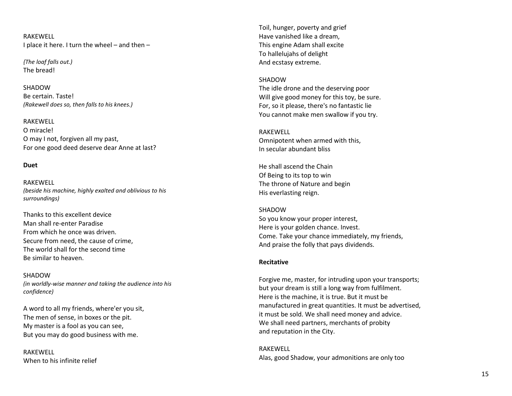RAKEWELL I place it here. I turn the wheel – and then –

*{The loaf falls out.)* The bread!

#### **SHADOW**

Be certain. Taste! *(Rakewell does so, then falls to his knees.)*

## RAKEWELL O miracle! O may I not, forgiven all my past,

## **Duet**

RAKEWELL *(beside his machine, highly exalted and oblivious to his surroundings)*

For one good deed deserve dear Anne at last?

Thanks to this excellent device Man shall re -enter Paradise From which he once was driven. Secure from need, the cause of crime, The world shall for the second time Be similar to heaven.

### SHADOW

*(in worldly -wise manner and taking the audience into his confidence)*

A word to all my friends, where'er you sit, The men of sense, in boxes or the pit. My master is a fool as you can see, But you may do good business with me.

RAKEWELL When to his infinite relief

Toil, hunger, poverty and grief Have vanished like a dream, This engine Adam shall excite To hallelujahs of delight And ecstasy extreme.

### SHADOW

The idle drone and the deserving poor Will give good money for this toy, be sure. For, so it please, there's no fantastic lie You cannot make men swallow if you try.

RAKEWELL Omnipotent when armed with this, In secular abundant bliss

He shall ascend the Chain Of Being to its top to win The throne of Nature and begin His everlasting reign.

# SHADOW

So you know your proper interest, Here is your golden chance. Invest. Come. Take your chance immediately, my friends, And praise the folly that pays dividends.

## **Recitative**

Forgive me, master, for intruding upon your transports; but your dream is still a long way from fulfilment. Here is the machine, it is true. But it must be manufactured in great quantities. It must be advertised, it must be sold. We shall need money and advice. We shall need partners, merchants of probity and reputation in the City.

**RAKEWELL** Alas, good Shadow, your admonitions are only too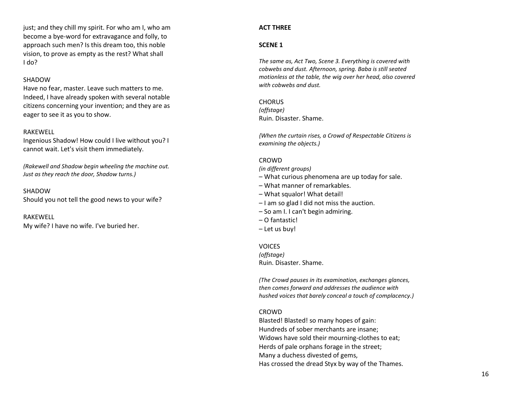just; and they chill my spirit. For who am I, who am become a bye -word for extravagance and folly, to approach such men? Is this dream too, this noble vision, to prove as empty as the rest? What shall I do?

### SHADOW

Have no fear, master. Leave such matters to me. Indeed, I have already spoken with several notable citizens concerning your invention; and they are as eager to see it as you to show.

### RAKEWELL

Ingenious Shadow! How could I live without you? I cannot wait. Let's visit them immediately.

*(Rakewell and Shadow begin wheeling the machine out. Just as they reach the door, Shadow turns. )*

SHADOW Should you not tell the good news to your wife?

### RAKEWELL

My wife? I have no wife. I've buried her.

## **ACT THREE**

## **SCENE 1**

*The same a s, Act Two, Scene 3. Everything is covered with cobwebs and dust . Afternoon, spring. Baba is still seated motionless at the table, the wig over her head, also covered with cobwebs and dust.*

## **CHORUS** *(offstage)* Ruin. Disaster. Shame.

*{When the curta in rises, a Crowd of Respectable Citizens is examining the objects.)*

## CROWD

*(in different groups)*

- What curious phenomena are up today for sale.
- What manner of remarkables.
- What squalor! What detail!
- I am so glad I did not miss the auction.
- So am I. I can't begin admiring.
- O fantastic!
- Let us buy!

## **VOICES** *(offstage)* Ruin. Disaster. Shame.

*(The Crowd pauses in its examination, exchanges glances, then comes forward and addresses the audience with hushed voice s that barely conceal a touch of complacency. )*

## **CROWD**

Blasted! Blasted! so many hopes of gain: Hundreds of sober merchants are insane; Widows have sold their mourning -clothes to eat; Herds of pale orphans forage in the street; Many a duchess divested of gems, Has crossed the dread Styx by way of the Thames.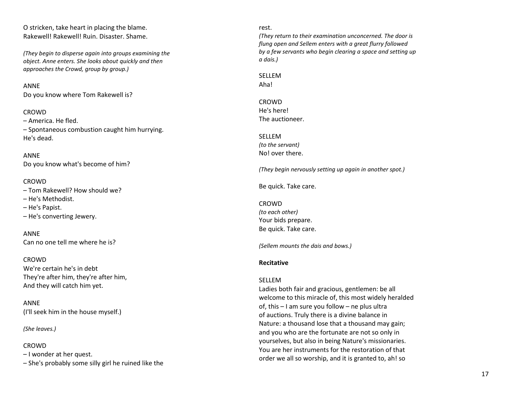O stricken, take heart in placing the blame. Rakewell! Rakewell! Ruin. Disaster. Shame.

*(They begin to disperse again into groups examining the object. Anne enters. She looks about quickly and then approaches the Crowd, group by group.)*

### ANNE Do you know where Tom Rakewell is?

## CROWD

– America. He fled. – Spontaneous combustion caught him hurrying. He's dead.

ANNE Do you know what's become of him?

## CROWD

– Tom Rakewell? How should we?

- He's Methodist.
- He's Papist.
- He's converting Jewery.

ANNE Can no one tell me where he is?

## **CROWD** We're certain he's in debt

They're after him, they're after him, And they will catch him yet.

ANNE (I'll seek him in the house myself.)

*(She leaves.)*

## CROWD

– I wonder at her quest.

– She's probably some silly girl he ruined like the

## rest.

*(They return to their examination unconcerned. The door is flung open and Sellem enters with a great flurry followed by a few servant s who begin clearing a space and setting up a dais.)*

## SELLEM Aha!

CROWD He's here! The auctioneer.

SELLEM *(to the servant)* No! over there.

*(They begin nervously setting up again in another spot.)*

Be quick. Take care.

CROWD *(to each other)* Your bids prepare. Be quick. Take care.

*(Sellem mounts the dais and bows.)*

## **Recitative**

## SELLEM

Ladies both fair and gracious, gentlemen: be all welcome to this miracle of, this most widely heralded of, this – I am sure you follow – ne plus ultra of auctions. Truly there is a divine balance in Nature: a thousand lose that a thousand may gain; and you who are the fortunate are not so only in yourselves, but also in being Nature's missionaries. You are her instruments for the restoration of that order we all so worship, and it is granted to, ah! so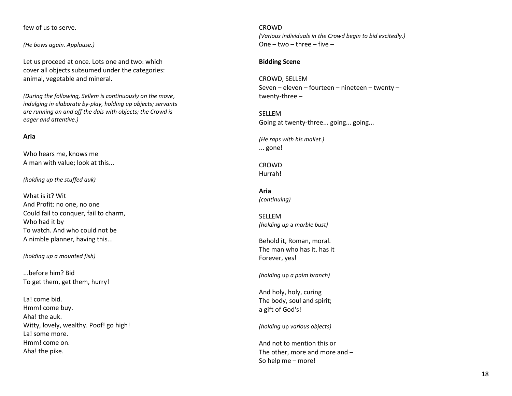few of us to serve.

*(He bows again. Applause.)*

Let us proceed at once. Lots one and two: which cover all objects subsumed under the categories: animal, vegetable and mineral.

*(During the following, Sellem is continuously on the move* , *indulging in elaborate by -play, holding up objects; servants are running on and off the dais with objects; the Crowd is eager and attentive.)*

#### **Aria**

Who hears me, knows me A man with value; look at this...

*(holding up the stuffed auk)*

What is it? Wit And Profit: no one, no one Could fail to conquer, fail to charm, Who had it by To watch. And who could not be A nimble planner, having this...

#### *(holding up a mounted fish)*

...before him? Bid To get them, get them, hurry!

La! come bid. Hmm! come buy. Aha! the auk. Witty, lovely, wealthy. Poof! go high! La! some more. Hmm! come on. Aha! the pike.

**CROWD** *(Various individuals in the Crowd begin to bid excitedly.)* One – two – three – five –

### **Bidding Scene**

CROWD, SELLEM Seven – eleven – fourteen – nineteen – twenty – twenty -three –

SELLEM Going at twenty-three... going... going...

*(He raps with his mallet.)* ... gone!

CROWD Hurrah!

**Aria** *(continuing)*

SELLEM *(holding up* a *marbl e bust)*

Behold it, Roman, moral. The man who has it. has it Forever, yes!

*(holding* up *a palm branch)*

And holy, holy, curing The body, soul and spirit; a gift of God's!

*(holding* up *various objects)*

And not to mention this or The other, more and more and – So help me – more!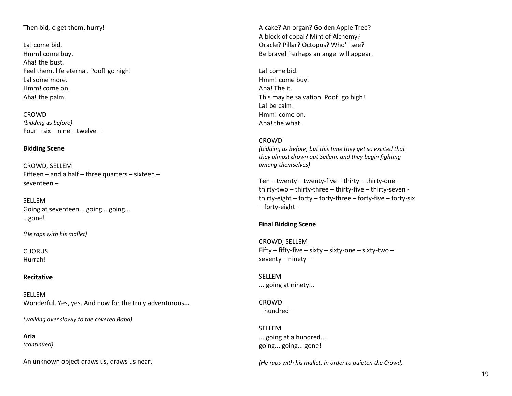### Then bid, o get them, hurry!

La! come bid. Hmm! come buy. Aha! the bust. Feel them, life eternal. Poof! go high! Lal some more. Hmm! come on. Aha! the palm.

CROWD *(bidding* as *before)* Four – six – nine – twelve –

## **Bidding Scene**

CROWD, SELLEM Fifteen – and a half – three quarters – sixteen – seventeen –

SELLEM Going at seventeen... going... going... …gone!

*(He raps with his mallet)*

**CHORUS** Hurrah!

### **Recitative**

SELLEM Wonderful. Yes, yes. And now for the truly adventurous**...**

*(walking over slowly to the covered Baba)*

**Aria** *(continued)*

An unknown object draws us, draws us near.

A cake? An organ? Golden Apple Tree? A block of copal? Mint of Alchemy? Oracle? Pillar? Octopus? Who'll see? Be brave! Perhaps an angel will appear.

La! come bid. Hmm! come buy. Aha! The it. This may be salvation. Poof! go high! La! be calm. Hmm! come on. Aha! the what.

### CROWD

*(bidding as before, but this time they get so excited that they almost drown out Sellem, and they begin fighting among themselves)*

Ten – twenty – twenty-five – thirty – thirty-one – thirty-two – thirty-three – thirty-five – thirty-seven thirty-eight – forty – forty-three – forty-five – forty-six – forty-eight –

## **Final Bidding Scene**

CROWD, SELLEM Fifty – fifty-five – sixty – sixty-one – sixty-two – seventy – ninety –

**SELLEM** ... going at ninety...

CROWD – hundred –

SELLEM ... going at a hundred... going... going... gone!

*(He raps with his mallet. In order to quieten the Crowd,*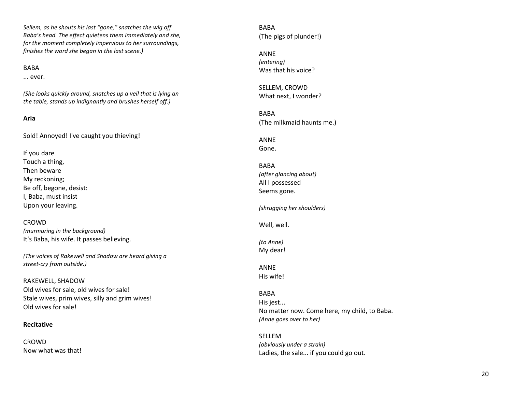*Sellem, as he shout s his last "gone, " snatches the wig off Baba's head. The effect quietens them immediately and she, for the moment completely impervious to her surrounding s, finishes the wo rd she began in the last scene.)*

### BABA

... ever.

*(She looks quickly around, snatches up a veil that is lying an the table, stands up indignantly and brushes herself off.)*

## **Aria**

Sold! Annoyed! I've caught you thieving!

If you dare Touch a thing, Then beware My reckoning; Be off, begone, desist: I, Baba, must insist Upon your leaving.

## CROWD

*(murmuring in the background)* It's Baba, his wife. It passes believing.

*(The voices of Rakewell and Shadow are heard giving a street - cry from out side.)*

RAKEWELL, SHADOW Old wives for sale, old wives for sale! Stale wives, prim wives, silly and grim wives! Old wives for sale!

## **Recitative**

CROWD Now what was that!

BABA (The pigs of plunder!)

ANNE *(entering)* Was that his voice?

SELLEM, CROWD What next, I wonder?

BABA (The milkmaid haunts me.)

ANNE Gone.

BABA *(after glancing abou t)* All I possessed Seems gone.

*(shrugging her shoulders)*

Well, well.

*(to Anne)* My dear!

ANNE His wife!

BABA His jest... No matter now. Come here, my child, to Baba. *(Anne goes over to her)*

SELLEM *(obviously under a strain)* Ladies, the sale... if you could go out.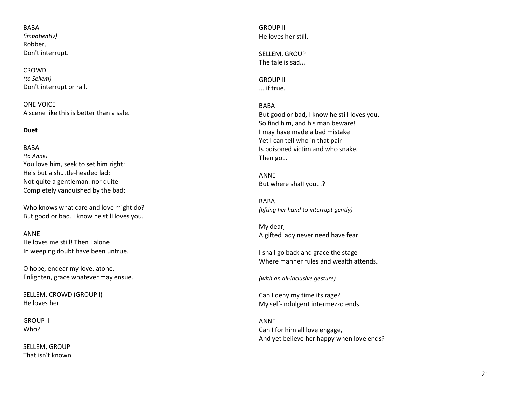## BABA *(impatiently)* Robber, Don't interrupt.

#### CROWD

*(to Sellem)* Don't interrupt or rail.

ONE VOICE A scene like this is better than a sale.

### **Duet**

## BABA

*(to Anne)* You love him, seek to set him right: He's but a shuttle -headed lad: Not quite a gentleman. nor quite Completely vanquished by the bad:

Who knows what care and love might do? But good or bad. I know he still loves you.

## ANNE

He loves me still! Then I alone In weeping doubt have been untrue.

O hope, endear my love, atone, Enlighten, grace whatever may ensue.

SELLEM, CROWD (GROUP I) He loves her.

GROUP II Who?

SELLEM, GROUP That isn't known. GROUP II He loves her still.

SELLEM, GROUP The tale is sad...

GROUP II ... if true.

## BABA

But good or bad, I know he still loves you. So find him, and his man beware! I may have made a bad mistake Yet I can tell who in that pair Is poisoned victim and who snake. Then go...

ANNE But where shall you...?

BABA *(lifting her hand* to *interrupt gently)*

My dear, A gifted lady never need have fear.

I shall go back and grace the stage Where manner rules and wealth attends.

*(with an all -inclusive gesture)*

Can I deny my time its rage? My self -indulgent intermezzo ends.

ANNE Can I for him all love engage, And yet believe her happy when love ends?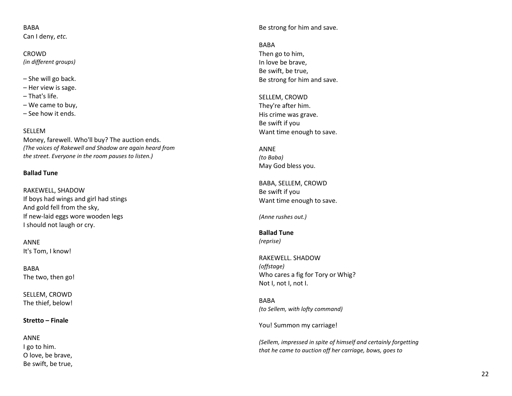BABA Can I deny, *etc.*

CROWD *(in differen t groups)*

- She will go back.
- Her view is sage.
- That's life.
- We came to buy,
- See how it ends.

## SELLEM

Money, farewell. Who'll buy? The auction ends. *(The voices of Rakewell and Shadow are again heard from the street. Everyone in the room pauses to listen.)*

## **Ballad Tune**

RAKEWELL, SHADOW If boys had wings and girl had stings And gold fell from the sky, If new -laid eggs wore wooden legs I should not laugh or cry.

ANNE It's Tom, I know!

BABA The two, then go!

SELLEM , CROWD The thief, below!

## **Stretto – Finale**

ANNE I go to him. O love, be brave, Be swift, be true, Be strong for him and save.

BABA Then go to him, In love be brave, Be swift, be true, Be strong for him and save.

SELLEM, CROWD They're after him. His crime was grave. Be swift if you Want time enough to save.

ANNE *(to Baba)* May God bless you.

BABA, SELLEM, CROWD Be swift if you Want time enough to save.

*(Anne rushes out.)*

**Ballad Tune** *(reprise)*

RAKEWELL. SHADOW *(offstage)* Who cares a fig for Tory or Whig? Not I, not I, not I.

BABA *(to Sellem, with lofty command)*

You! Summon my carriage!

*(Sellem, impressed in spite of himself and certainly forgetting that he came to auction off her carriage, bows, goes to*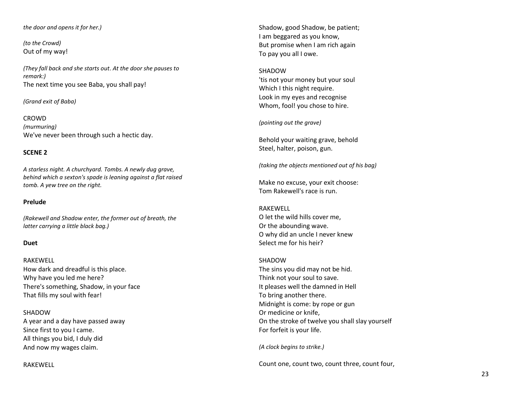#### *the door and opens it for her.)*

*(to the Crowd)* Out of my way!

*(They fall back and she starts out*. *At the door she pauses to remark:)* The next time you see Baba, you shall pay!

*(Grand exit of Baba)*

CROWD *(murmuring)* We've never been through such a hectic day.

## **SCENE 2**

*A starless night. A churchyard. Tombs. A newly dug grave, behind which a sexton's spade is leaning against a flat raised tomb. A yew tree on the right.*

### **Prelude**

*(Rakewell and Shadow enter, the former out of breath, the latter carrying a little black bag.)*

### **Duet**

RAKEWELL

How dark and dreadful is this place. Why have you led me here? There's something, Shadow, in your face That fills my soul with fear!

### SHADOW

A year and a day have passed away Since first to you I came. All things you bid, I duly did And now my wages claim.

#### RAKEWELL

Shadow, good Shadow, be patient; I am beggared as you know, But promise when I am rich again To pay you all I owe.

#### SHADOW

'tis not your money but your soul Which I this night require. Look in my eyes and recognise Whom, fool! you chose to hire.

*(pointing out the grave)*

Behold your waiting grave, behold Steel, halter, poison, gun.

*(taking the objects mentioned out of his bag)*

Make no excuse, your exit choose: Tom Rakewell's race is run.

RAKEWELL O let the wild hills cover me, Or the abounding wave. O why did an uncle I never knew Select me for his heir?

SHADOW The sins you did may not be hid. Think not your soul to save. It pleases well the damned in Hell To bring another there. Midnight is come: by rope or gun Or medicine or knife, On the stroke of twelve you shall slay yourself For forfeit is your life.

*(A clock begins to strike.)*

Count one, count two, count three, count four,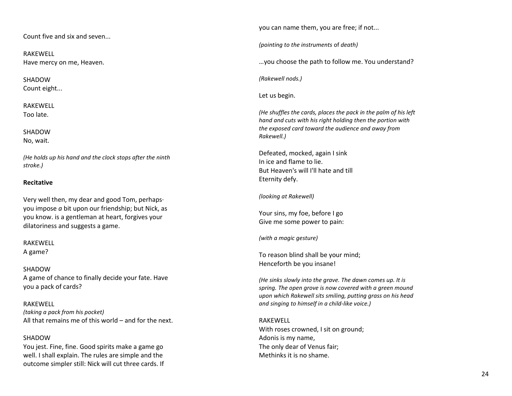Count five and six and seven...

RAKEWELL Have mercy on me, Heaven.

SHADOW Count eight...

RAKEWELL Too late.

SHADOW

No, wait.

*(He holds up his hand and the clock stops after the ninth stroke.)*

## **Recitative**

Very well then, my dear and good Tom, perhaps· you impose *a* bit upon our friendship; but Nick, as you know. is a gentleman at heart, forgives your dilatoriness and suggests a game.

RAKEWELL A game?

## SHADOW

A game of chance to finally decide your fate. Have you a pack of cards?

RAKEWELL *(taking a pack from his pocket)* All that remains me of this world – and for the next.

## SHADOW

You jest. Fine, fine. Good spirits make a game go well. I shall explain. The rules are simple and the outcome simpler still: Nick will cut three cards. If you can name them, you are free; if not...

*(pointing to the instruments* of *death)*

…you choose the path to follow me. You understand?

*(Rakewell nods.)*

Let us begin.

*(He shuffles the cards, places the pack in the palm of his left hand and cuts with his right holding then the portion with the exposed card toward the audience and away from Rakewell.)*

Defeated, mocked, again I sink In ice and flame to lie. But Heaven's will I'll hate and till Eternity defy.

*(looking at Rakewell)*

Your sins, my foe, before I go Give me some power to pain:

*(with a magic gesture)*

To reason blind shall be your mind; Henceforth be you insane!

*(He sinks slowly into the grave. The dawn comes up. It is spring. The open grove is now covered with a green mound upon which Rakewell sits smiling, putting grass on his head and singing to himself in a child -like voice.)*

RAKEWELL With roses crowned, I sit on ground; Adonis is my name, The only dear of Venus fair; Methinks it is no shame.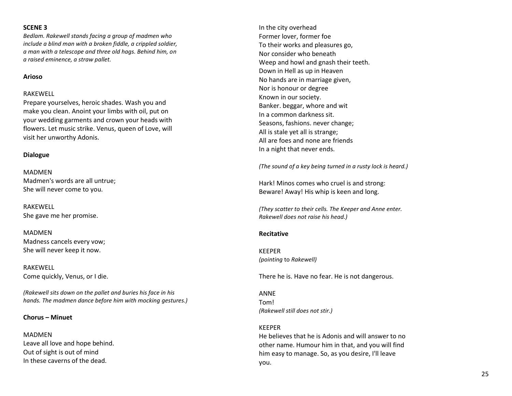## **SCENE 3**

*Bedlam. Rakewell stands facing a group of madmen who include a blind man with a broken fiddle, a crippled soldier, a man with a telescope and three old hags. Behind him, o n a raised eminence, a straw pallet.*

### **Arioso**

### RAKEWELL

Prepare yourselves, heroic shades. Wash you and make you clean. Anoint your limbs with oil, put on your wedding garments and crown your heads with flowers. Let music strike. Venus, queen of Love , will visit her unworthy Adonis.

## **Dialogue**

MADMEN Madmen's words are all untrue; She will never come to you.

RAKEWELL She gave me her promise.

MADMEN Madness cancels every vow; She will never keep it now.

RAKEWELL Come quickly, Venus, or I die.

*(Rakewell sits down on the pallet and buries his face in his hands. The madmen dance before him with mocking gestures.)*

## **Chorus – Minuet**

MADMEN Leave all love and hope behind. Out of sight is out of mind In these caverns of the dead.

In the city overhead Former lover, former foe To their works and pleasures go, Nor consider who beneath Weep and howl and gnash their teeth. Down in Hell as up in Heaven No hands are in marriage given, Nor is honour or degree Known in our society. Banker. beggar, whore and wit In a common darkness sit. Seasons, fashions. never change; All is stale yet all is strange; All are foes and none are friends In a night that never ends.

*(The sound of a key being turned in a rusty lock is heard.)*

Hark! Minos comes who cruel is and strong: Beware! Away! His whip is keen and long.

*(They scatter to their cells. The Keeper and Anne enter . Rakewell does not raise his head.)*

### **Recitative**

KEEPER *(pointing* to *Rakewell)*

There he is. Have no fear. He is not dangerous.

ANNE Tom! *(Rakewell still does not stir.)*

## KEEPER

He believes that he is Adonis and will answer to no other name. Humour him in that, and you will find him easy to manage. So , as you desire , I'll leave you.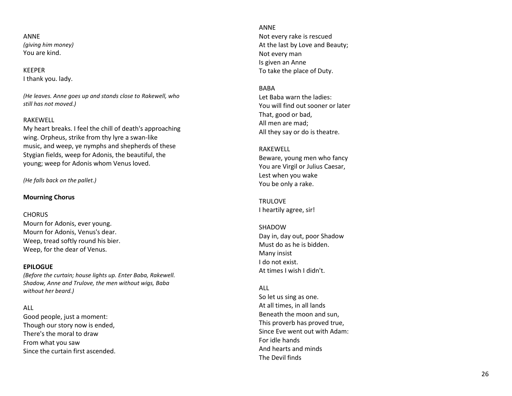ANNE *(giving him money)* You are kind.

## KEEPER I thank you. lady.

*(He leaves. Anne goes up and stands close to Rakewell, who still has not moved.)*

## RAKEWELL

My heart breaks. I feel the chill of death's approaching wing. Orpheus, strike from thy lyre a swan -like music, and weep, ye nymphs and shepherds of these Stygian fields, weep for Adonis, the beautiful, the young; weep for Adonis whom Venus loved.

*(He falls back on the pallet.)*

## **Mourning Chorus**

## **CHORUS**

Mourn for Adonis, ever young. Mourn for Adonis, Venus's dear. Weep, tread softly round his bier. Weep, for the dear of Venus.

## **EPILOGUE**

*(Before the curtain; house lights up. Enter Baba, Rakewell. Shadow, Anne and Trulove, the men without wigs, Baba without her beard.)*

## ALL

Good people, just a moment: Though our story now is ended, There's the moral to draw From what you saw Since the curtain first ascended. ANNE Not every rake is rescued At the last by Love and Beauty; Not every man Is given an Anne To take the place of Duty.

## BABA

Let Baba warn the ladies: You will find out sooner or later That, good or bad, All men are mad; All they say or do is theatre.

## RAKEWELL

Beware, young men who fancy You are Virgil or Julius Caesar, Lest when you wake You be only a rake.

**TRULOVE** I heartily agree, sir!

SHADOW Day in, day out, poor Shadow Must do as he is bidden. Many insist I do not exist. At times I wish I didn't.

ALL So let us sing as one. At all times, in all lands Beneath the moon and sun, This proverb has proved true, Since Eve went out with Adam: For idle hands And hearts and minds The Devil finds